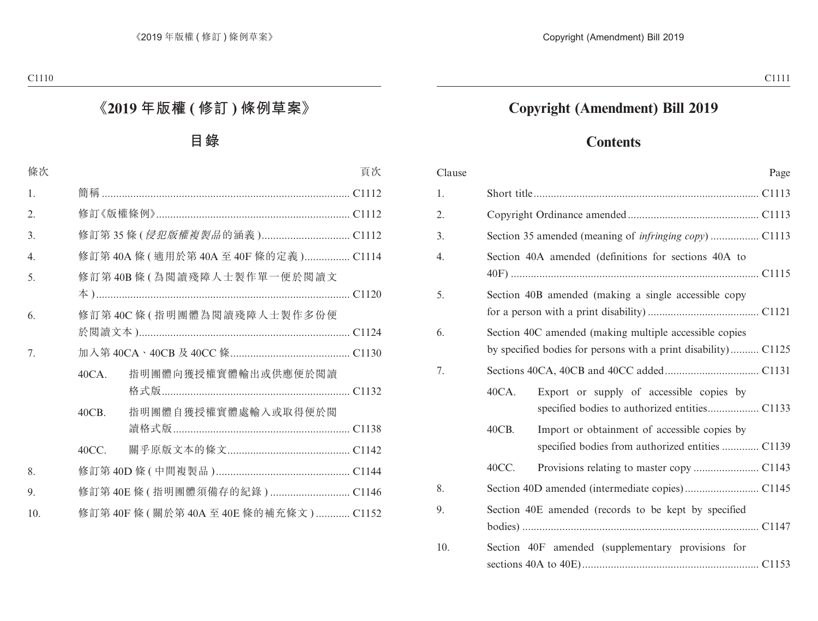## **Copyright (Amendment) Bill 2019**

## **Contents**

| Clause | Page                                                                                                                     |
|--------|--------------------------------------------------------------------------------------------------------------------------|
| 1.     |                                                                                                                          |
| 2.     |                                                                                                                          |
| 3.     |                                                                                                                          |
| 4.     | Section 40A amended (definitions for sections 40A to                                                                     |
| 5.     | Section 40B amended (making a single accessible copy                                                                     |
| 6.     | Section 40C amended (making multiple accessible copies<br>by specified bodies for persons with a print disability) C1125 |
| 7.     |                                                                                                                          |
|        | 40CA.<br>Export or supply of accessible copies by                                                                        |
|        | 40CB.<br>Import or obtainment of accessible copies by<br>specified bodies from authorized entities  C1139                |
|        | 40CC.                                                                                                                    |
| 8.     |                                                                                                                          |
| 9.     | Section 40E amended (records to be kept by specified                                                                     |
| 10.    | Section 40F amended (supplementary provisions for                                                                        |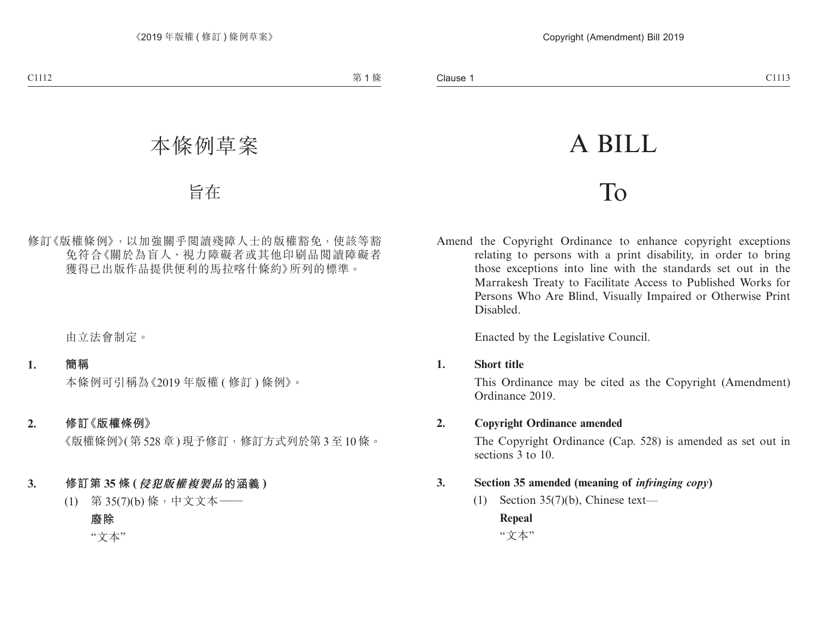# A BILL

# To

Amend the Copyright Ordinance to enhance copyright exceptions relating to persons with a print disability, in order to bring those exceptions into line with the standards set out in the Marrakesh Treaty to Facilitate Access to Published Works for Persons Who Are Blind, Visually Impaired or Otherwise Print Disabled.

Enacted by the Legislative Council.

**1. Short title**

This Ordinance may be cited as the Copyright (Amendment) Ordinance 2019.

**2. Copyright Ordinance amended**

The Copyright Ordinance (Cap. 528) is amended as set out in sections 3 to 10.

- **3. Section 35 amended (meaning of** *infringing copy***)**
	- (1) Section 35(7)(b), Chinese text—

**Repeal**

"文本"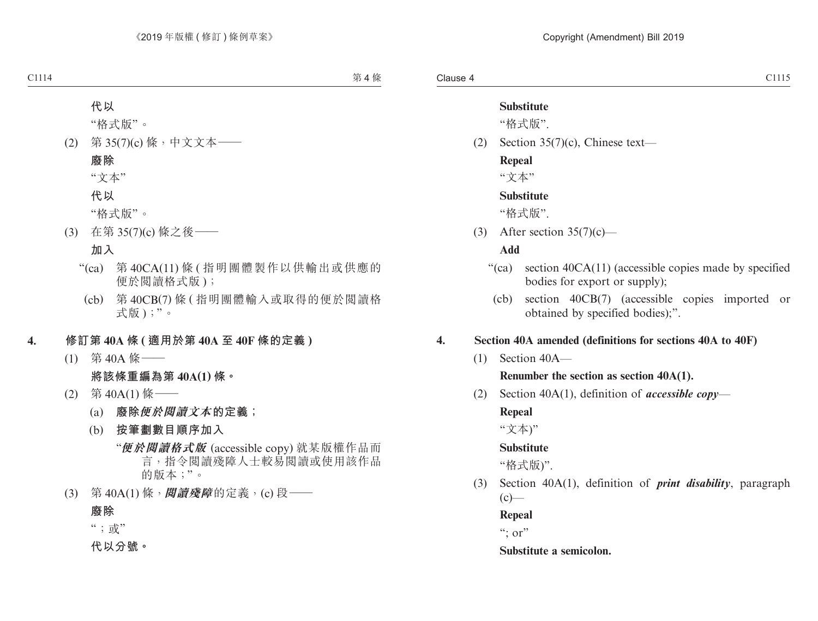### **Substitute**

"格式版".

(2) Section 35(7)(c), Chinese text—

#### **Repeal**

"文本"

## **Substitute**

"格式版".

(3) After section  $35(7)(c)$ —

## **Add**

- "(ca) section 40CA(11) (accessible copies made by specified bodies for export or supply);
	- (cb) section 40CB(7) (accessible copies imported or obtained by specified bodies);".

## **4. Section 40A amended (definitions for sections 40A to 40F)**

(1) Section 40A—

#### **Renumber the section as section 40A(1).**

(2) Section 40A(1), definition of *accessible copy*—

## **Repeal**

"文本)"

## **Substitute**

"格式版)".

(3) Section 40A(1), definition of *print disability*, paragraph  $(c)$ —

#### **Repeal**

 $\cdot$ ": or"

#### **Substitute a semicolon.**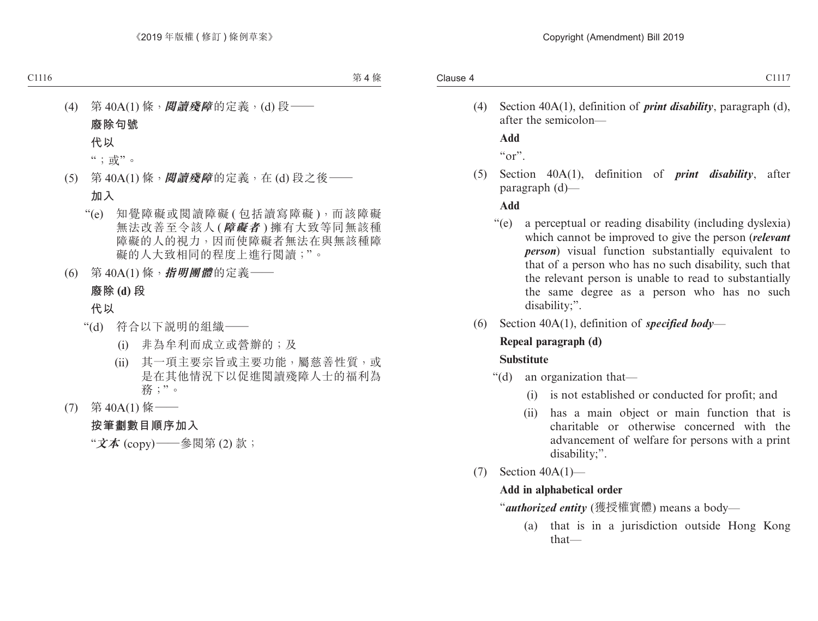(4) Section 40A(1), definition of *print disability*, paragraph (d), after the semicolon—

**Add**

 $\alpha$ "

(5) Section 40A(1), definition of *print disability*, after paragraph (d)—

## **Add**

- "(e) a perceptual or reading disability (including dyslexia) which cannot be improved to give the person (*relevant person*) visual function substantially equivalent to that of a person who has no such disability, such that the relevant person is unable to read to substantially the same degree as a person who has no such disability;".
- (6) Section 40A(1), definition of *specified body*—

# **Repeal paragraph (d)**

### **Substitute**

- "(d) an organization that—
	- (i) is not established or conducted for profit; and
	- (ii) has a main object or main function that is charitable or otherwise concerned with the advancement of welfare for persons with a print disability;".
- (7) Section 40A(1)—

## **Add in alphabetical order**

"*authorized entity* (獲授權實體) means a body—

(a) that is in a jurisdiction outside Hong Kong that—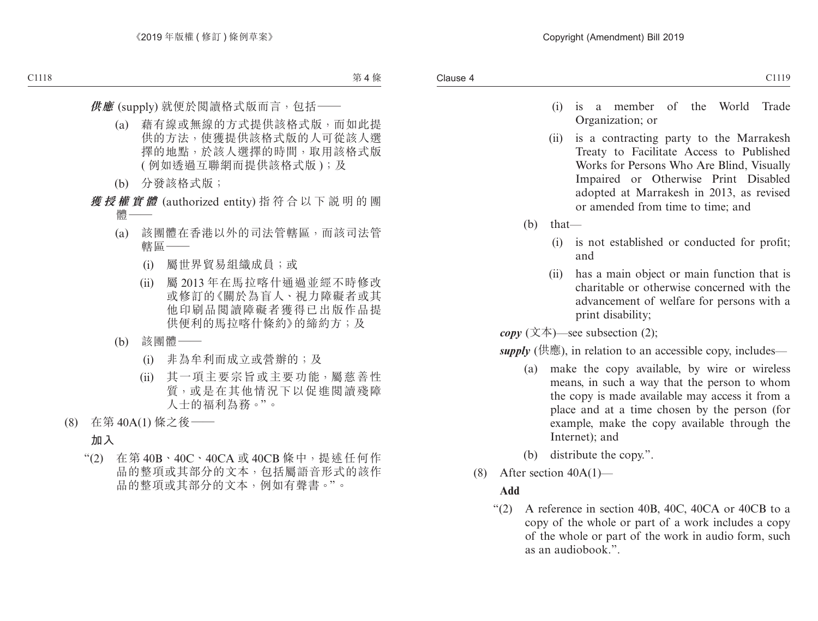- (i) is a member of the World Trade Organization; or
- (ii) is a contracting party to the Marrakesh Treaty to Facilitate Access to Published Works for Persons Who Are Blind, Visually Impaired or Otherwise Print Disabled adopted at Marrakesh in 2013, as revised or amended from time to time; and
- (b) that—
	- (i) is not established or conducted for profit; and
	- (ii) has a main object or main function that is charitable or otherwise concerned with the advancement of welfare for persons with a print disability;

 $\textit{copy}$  (文本)—see subsection (2);

*supply* (供應), in relation to an accessible copy, includes—

- (a) make the copy available, by wire or wireless means, in such a way that the person to whom the copy is made available may access it from a place and at a time chosen by the person (for example, make the copy available through the Internet); and
- (b) distribute the copy.".
- (8) After section  $40A(1)$ —

## **Add**

"(2) A reference in section 40B, 40C, 40CA or 40CB to a copy of the whole or part of a work includes a copy of the whole or part of the work in audio form, such as an audiobook.".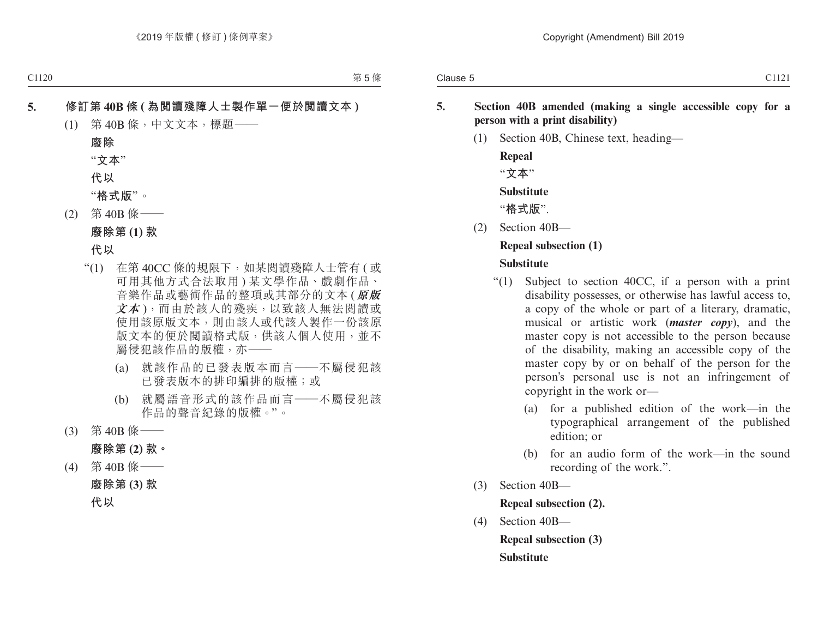- **5. Section 40B amended (making a single accessible copy for a person with a print disability)**
	- (1) Section 40B, Chinese text, heading—

**Repeal** "**文本**" **Substitute** "**格式版**".

(2) Section 40B—

## **Repeal subsection (1)**

## **Substitute**

- "(1) Subject to section 40CC, if a person with a print disability possesses, or otherwise has lawful access to, a copy of the whole or part of a literary, dramatic, musical or artistic work (*master copy*), and the master copy is not accessible to the person because of the disability, making an accessible copy of the master copy by or on behalf of the person for the person's personal use is not an infringement of copyright in the work or—
	- (a) for a published edition of the work—in the typographical arrangement of the published edition; or
	- (b) for an audio form of the work—in the sound recording of the work.".
- (3) Section 40B—

**Repeal subsection (2).**

(4) Section 40B—

**Repeal subsection (3) Substitute**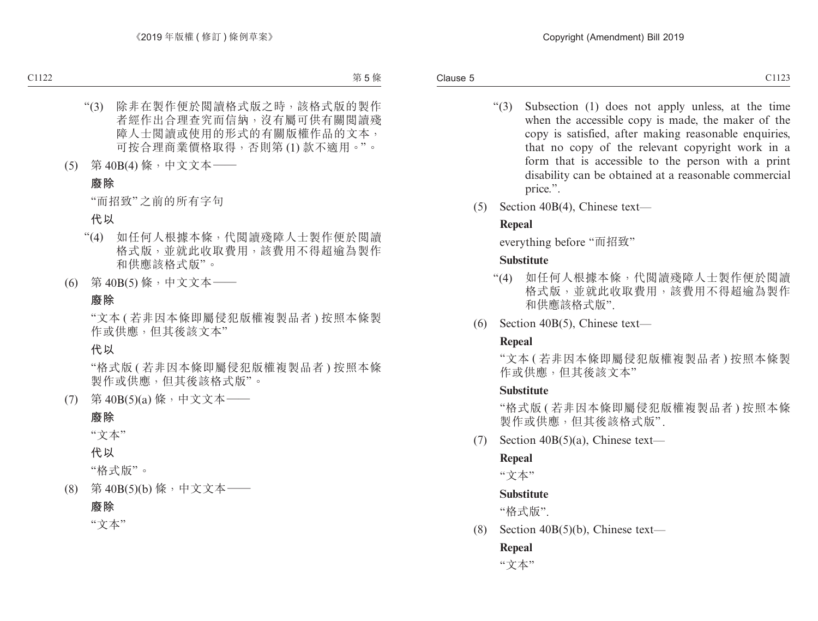- "(3) Subsection (1) does not apply unless, at the time when the accessible copy is made, the maker of the copy is satisfied, after making reasonable enquiries, that no copy of the relevant copyright work in a form that is accessible to the person with a print disability can be obtained at a reasonable commercial price.".
- (5) Section 40B(4), Chinese text—

## **Repeal**

everything before "而招致"

## **Substitute**

- "(4) 如任何人根據本條,代閱讀殘障人士製作便於閱讀 格式版,並就此收取費用,該費用不得超逾為製作 和供應該格式版".
- (6) Section 40B(5), Chinese text—

## **Repeal**

"文本 ( 若非因本條即屬侵犯版權複製品者 ) 按照本條製 作或供應, 但其後該文本"

## **Substitute**

"格式版 ( 若非因本條即屬侵犯版權複製品者 ) 按照本條 製作或供應,但其後該格式版" .

(7) Section  $40B(5)(a)$ , Chinese text—

#### **Repeal**

"文本"

## **Substitute**

"格式版".

(8) Section 40B(5)(b), Chinese text—

## **Repeal**

"文本"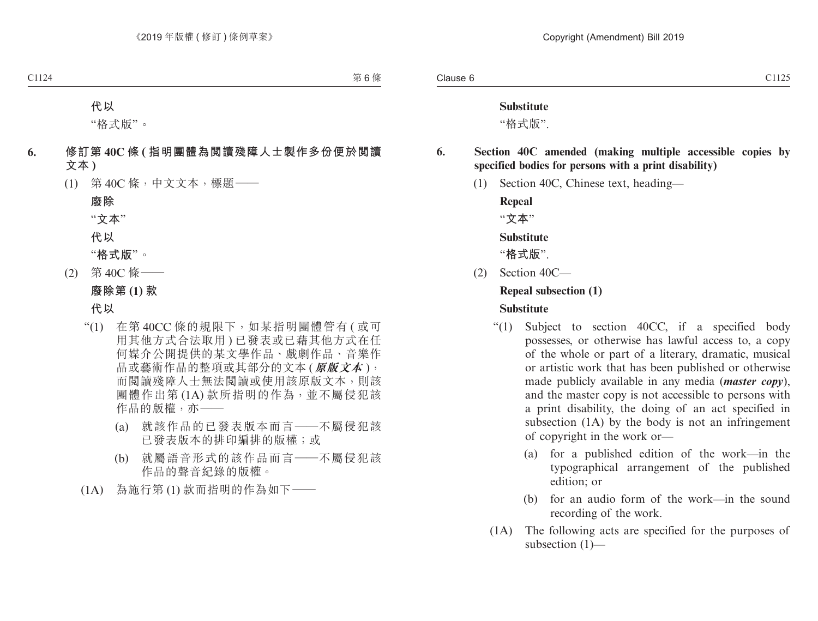#### **Substitute**

"格式版".

## **6. Section 40C amended (making multiple accessible copies by specified bodies for persons with a print disability)**

(1) Section 40C, Chinese text, heading—

**Repeal**

"**文本**"

#### **Substitute**

"**格式版**".

(2) Section 40C—

#### **Repeal subsection (1)**

#### **Substitute**

- "(1) Subject to section 40CC, if a specified body possesses, or otherwise has lawful access to, a copy of the whole or part of a literary, dramatic, musical or artistic work that has been published or otherwise made publicly available in any media (*master copy*), and the master copy is not accessible to persons with a print disability, the doing of an act specified in subsection (1A) by the body is not an infringement of copyright in the work or—
	- (a) for a published edition of the work—in the typographical arrangement of the published edition; or
	- (b) for an audio form of the work—in the sound recording of the work.
- (1A) The following acts are specified for the purposes of subsection (1)—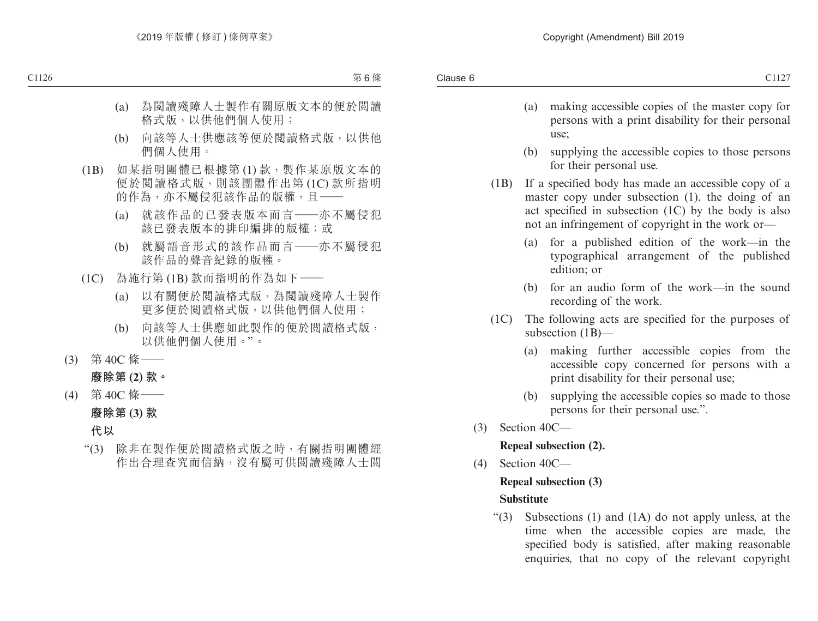- (a) making accessible copies of the master copy for persons with a print disability for their personal use;
- (b) supplying the accessible copies to those persons for their personal use.
- (1B) If a specified body has made an accessible copy of a master copy under subsection (1), the doing of an act specified in subsection (1C) by the body is also not an infringement of copyright in the work or—
	- (a) for a published edition of the work—in the typographical arrangement of the published edition; or
	- (b) for an audio form of the work—in the sound recording of the work.
- (1C) The following acts are specified for the purposes of subsection (1B)—
	- (a) making further accessible copies from the accessible copy concerned for persons with a print disability for their personal use;
	- (b) supplying the accessible copies so made to those persons for their personal use.".
- (3) Section 40C—

**Repeal subsection (2).**

(4) Section 40C—

#### **Repeal subsection (3)**

#### **Substitute**

"(3) Subsections (1) and (1A) do not apply unless, at the time when the accessible copies are made, the specified body is satisfied, after making reasonable enquiries, that no copy of the relevant copyright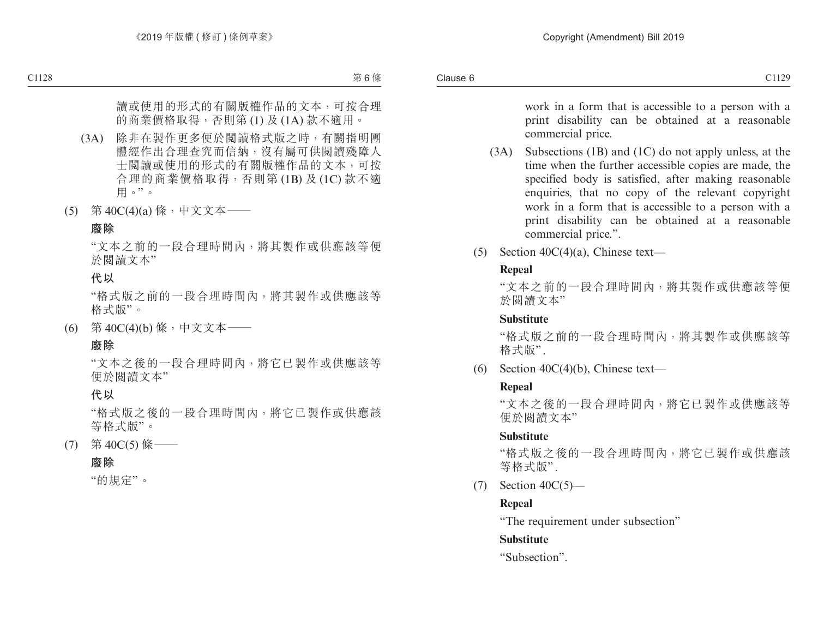work in a form that is accessible to a person with a print disability can be obtained at a reasonable commercial price.

- (3A) Subsections (1B) and (1C) do not apply unless, at the time when the further accessible copies are made, the specified body is satisfied, after making reasonable enquiries, that no copy of the relevant copyright work in a form that is accessible to a person with a print disability can be obtained at a reasonable commercial price.".
- (5) Section  $40C(4)(a)$ , Chinese text—

#### **Repeal**

"文本之前的一段合理時間內,將其製作或供應該等便 於閱讀文本"

#### **Substitute**

"格式版之前的一段合理時間內,將其製作或供應該等 格式版" .

(6) Section  $40C(4)(b)$ , Chinese text—

#### **Repeal**

"文本之後的一段合理時間內,將它已製作或供應該等 便於閱讀文本"

#### **Substitute**

"格式版之後的一段合理時間內,將它已製作或供應該 等格式版".

(7) Section 40C(5)—

## **Repeal**

"The requirement under subsection"

## **Substitute**

"Subsection".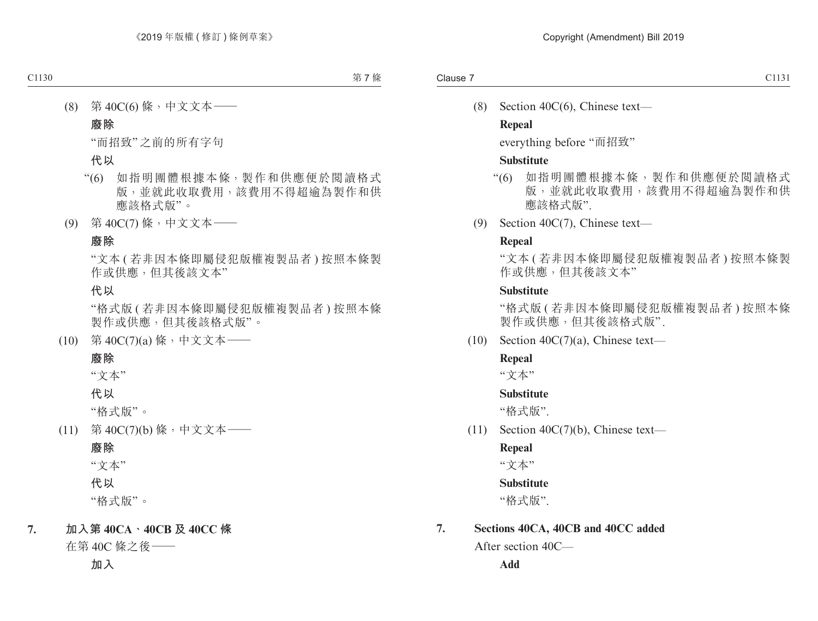(8) Section 40C(6), Chinese text—

#### **Repeal**

everything before "而招致"

#### **Substitute**

- "(6) 如指明團體根據本條,製作和供應便於閱讀格式 版,並就此收取費用,該費用不得超逾為製作和供 應該格式版"
- (9) Section 40C(7), Chinese text—

#### **Repeal**

"文本 ( 若非因本條即屬侵犯版權複製品者 ) 按照本條製 作或供應,但其後該文本"

#### **Substitute**

"格式版 ( 若非因本條即屬侵犯版權複製品者 ) 按照本條 製作或供應,但其後該格式版".

(10) Section 40C(7)(a), Chinese text—

#### **Repeal**

"文本"

#### **Substitute**

"格式版".

(11) Section 40C(7)(b), Chinese text—

#### **Repeal**

"文本"

#### **Substitute**

"格式版".

#### **7. Sections 40CA, 40CB and 40CC added**

After section 40C—

**Add**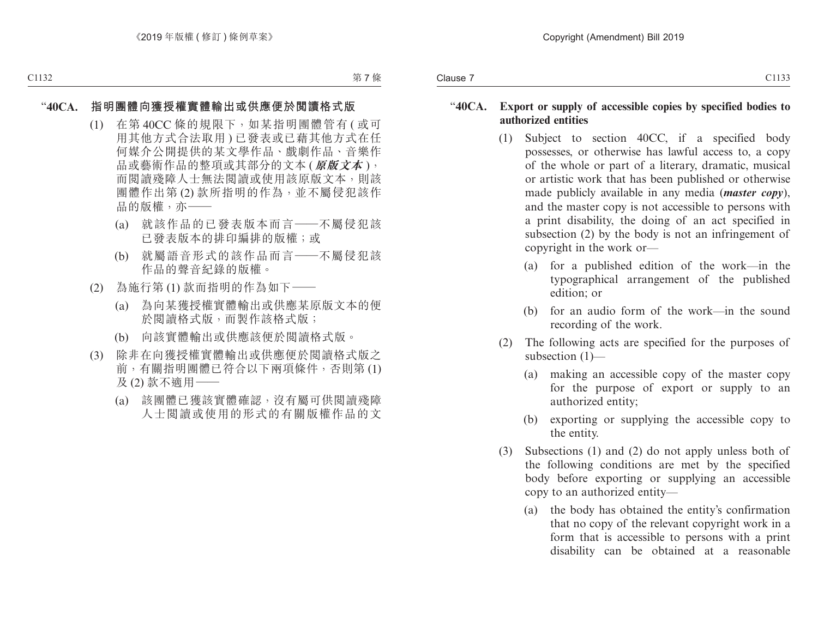#### "**40CA. Export or supply of accessible copies by specified bodies to authorized entities**

- (1) Subject to section 40CC, if a specified body possesses, or otherwise has lawful access to, a copy of the whole or part of a literary, dramatic, musical or artistic work that has been published or otherwise made publicly available in any media (*master copy*), and the master copy is not accessible to persons with a print disability, the doing of an act specified in subsection (2) by the body is not an infringement of copyright in the work or—
	- (a) for a published edition of the work—in the typographical arrangement of the published edition; or
	- (b) for an audio form of the work—in the sound recording of the work.
- (2) The following acts are specified for the purposes of subsection (1)—
	- (a) making an accessible copy of the master copy for the purpose of export or supply to an authorized entity;
	- (b) exporting or supplying the accessible copy to the entity.
- (3) Subsections (1) and (2) do not apply unless both of the following conditions are met by the specified body before exporting or supplying an accessible copy to an authorized entity—
	- (a) the body has obtained the entity's confirmation that no copy of the relevant copyright work in a form that is accessible to persons with a print disability can be obtained at a reasonable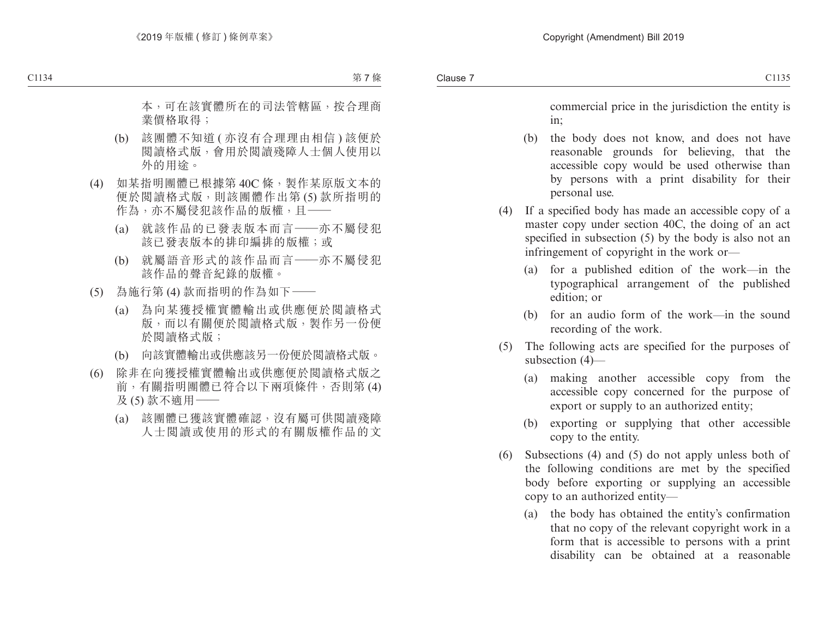commercial price in the jurisdiction the entity is in;

- (b) the body does not know, and does not have reasonable grounds for believing, that the accessible copy would be used otherwise than by persons with a print disability for their personal use.
- (4) If a specified body has made an accessible copy of a master copy under section 40C, the doing of an act specified in subsection (5) by the body is also not an infringement of copyright in the work or—
	- (a) for a published edition of the work—in the typographical arrangement of the published edition; or
	- (b) for an audio form of the work—in the sound recording of the work.
- (5) The following acts are specified for the purposes of subsection (4)—
	- (a) making another accessible copy from the accessible copy concerned for the purpose of export or supply to an authorized entity;
	- (b) exporting or supplying that other accessible copy to the entity.
- (6) Subsections (4) and (5) do not apply unless both of the following conditions are met by the specified body before exporting or supplying an accessible copy to an authorized entity—
	- (a) the body has obtained the entity's confirmation that no copy of the relevant copyright work in a form that is accessible to persons with a print disability can be obtained at a reasonable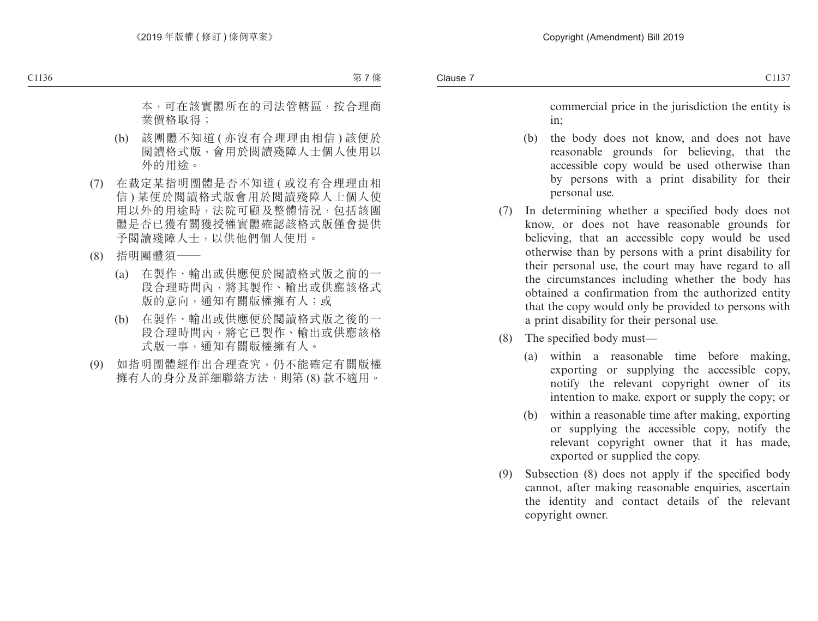commercial price in the jurisdiction the entity is in;

- (b) the body does not know, and does not have reasonable grounds for believing, that the accessible copy would be used otherwise than by persons with a print disability for their personal use.
- (7) In determining whether a specified body does not know, or does not have reasonable grounds for believing, that an accessible copy would be used otherwise than by persons with a print disability for their personal use, the court may have regard to all the circumstances including whether the body has obtained a confirmation from the authorized entity that the copy would only be provided to persons with a print disability for their personal use.
- (8) The specified body must—
	- (a) within a reasonable time before making, exporting or supplying the accessible copy, notify the relevant copyright owner of its intention to make, export or supply the copy; or
	- (b) within a reasonable time after making, exporting or supplying the accessible copy, notify the relevant copyright owner that it has made, exported or supplied the copy.
- (9) Subsection (8) does not apply if the specified body cannot, after making reasonable enquiries, ascertain the identity and contact details of the relevant copyright owner.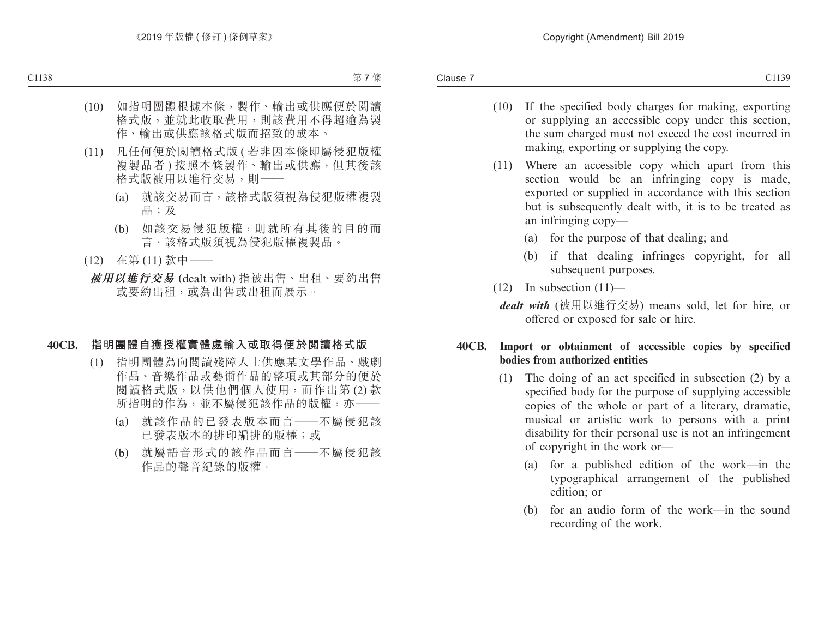- (10) If the specified body charges for making, exporting or supplying an accessible copy under this section, the sum charged must not exceed the cost incurred in making, exporting or supplying the copy.
- (11) Where an accessible copy which apart from this section would be an infringing copy is made, exported or supplied in accordance with this section but is subsequently dealt with, it is to be treated as an infringing copy—
	- (a) for the purpose of that dealing; and
	- (b) if that dealing infringes copyright, for all subsequent purposes.
- $(12)$  In subsection  $(11)$ 
	- *dealt with* (被用以進行交易) means sold, let for hire, or offered or exposed for sale or hire.

#### **40CB. Import or obtainment of accessible copies by specified bodies from authorized entities**

- (1) The doing of an act specified in subsection (2) by a specified body for the purpose of supplying accessible copies of the whole or part of a literary, dramatic, musical or artistic work to persons with a print disability for their personal use is not an infringement of copyright in the work or—
	- (a) for a published edition of the work—in the typographical arrangement of the published edition; or
	- (b) for an audio form of the work—in the sound recording of the work.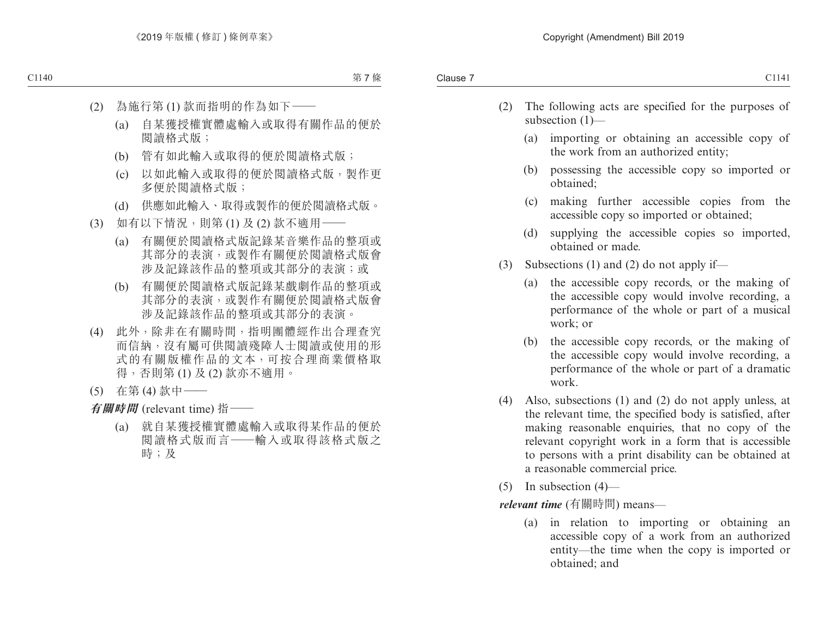- (2) The following acts are specified for the purposes of subsection (1)—
	- (a) importing or obtaining an accessible copy of the work from an authorized entity;
	- (b) possessing the accessible copy so imported or obtained;
	- (c) making further accessible copies from the accessible copy so imported or obtained;
	- (d) supplying the accessible copies so imported, obtained or made.
- (3) Subsections (1) and (2) do not apply if—
	- (a) the accessible copy records, or the making of the accessible copy would involve recording, a performance of the whole or part of a musical work; or
	- (b) the accessible copy records, or the making of the accessible copy would involve recording, a performance of the whole or part of a dramatic work.
- (4) Also, subsections (1) and (2) do not apply unless, at the relevant time, the specified body is satisfied, after making reasonable enquiries, that no copy of the relevant copyright work in a form that is accessible to persons with a print disability can be obtained at a reasonable commercial price.
- (5) In subsection  $(4)$ —

*relevant time* (有關時間) means—

(a) in relation to importing or obtaining an accessible copy of a work from an authorized entity—the time when the copy is imported or obtained; and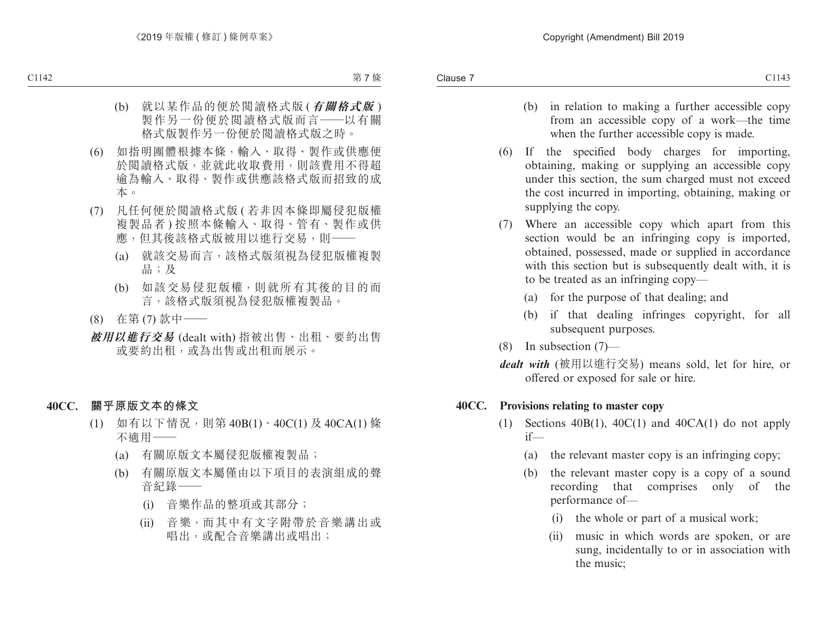- (b) in relation to making a further accessible copy from an accessible copy of a work—the time when the further accessible copy is made.
- (6) If the specified body charges for importing, obtaining, making or supplying an accessible copy under this section, the sum charged must not exceed the cost incurred in importing, obtaining, making or supplying the copy.
- (7) Where an accessible copy which apart from this section would be an infringing copy is imported, obtained, possessed, made or supplied in accordance with this section but is subsequently dealt with, it is to be treated as an infringing copy—
	- (a) for the purpose of that dealing; and
	- (b) if that dealing infringes copyright, for all subsequent purposes.
- (8) In subsection (7)—
- *dealt with* (被用以進行交易) means sold, let for hire, or offered or exposed for sale or hire.

#### **40CC. Provisions relating to master copy**

- (1) Sections  $40B(1)$ ,  $40C(1)$  and  $40CA(1)$  do not apply if—
	- (a) the relevant master copy is an infringing copy;
	- (b) the relevant master copy is a copy of a sound recording that comprises only of the performance of—
		- (i) the whole or part of a musical work;
		- (ii) music in which words are spoken, or are sung, incidentally to or in association with the music;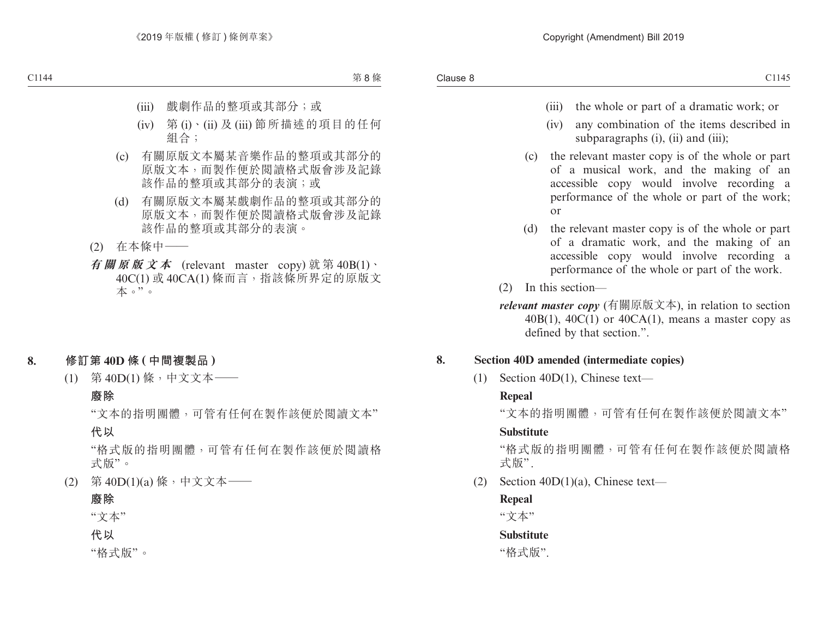- (iii) the whole or part of a dramatic work; or
- (iv) any combination of the items described in subparagraphs (i), (ii) and (iii);
- (c) the relevant master copy is of the whole or part of a musical work, and the making of an accessible copy would involve recording a performance of the whole or part of the work; or
- (d) the relevant master copy is of the whole or part of a dramatic work, and the making of an accessible copy would involve recording a performance of the whole or part of the work.
- (2) In this section—
- *relevant master copy* (有關原版文本), in relation to section  $40B(1)$ ,  $40C(1)$  or  $40CA(1)$ , means a master copy as defined by that section.".

#### **8. Section 40D amended (intermediate copies)**

(1) Section 40D(1), Chinese text—

## **Repeal**

"文本的指明團體,可管有任何在製作該便於閱讀文本"

## **Substitute**

"格式版的指明團體,可管有任何在製作該便於閱讀格 式版".

(2) Section 40D(1)(a), Chinese text—

## **Repeal**

"文本"

## **Substitute**

"格式版".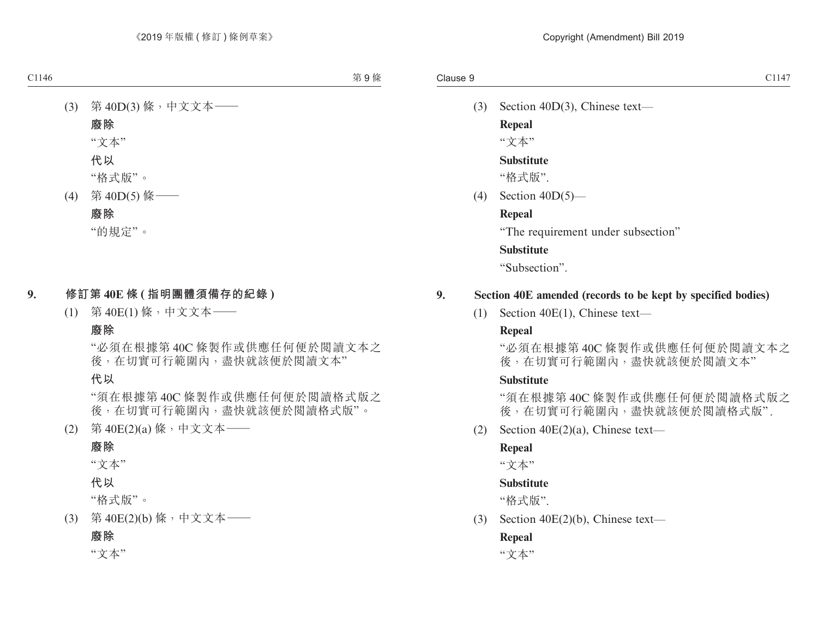(3) Section 40D(3), Chinese text—

**Repeal** "文本"

#### **Substitute**

"格式版".

(4) Section 40D(5)—

#### **Repeal**

"The requirement under subsection"

#### **Substitute**

"Subsection".

#### **9. Section 40E amended (records to be kept by specified bodies)**

(1) Section 40E(1), Chinese text—

#### **Repeal**

"必須在根據第 40C 條製作或供應任何便於閱讀文本之 後,在切實可行範圍內,盡快就該便於閱讀文本"

#### **Substitute**

"須在根據第 40C 條製作或供應任何便於閱讀格式版之 後,在切實可行範圍內,盡快就該便於閱讀格式版".

(2) Section 40E(2)(a), Chinese text—

#### **Repeal**

"文本"

#### **Substitute**

"格式版".

(3) Section 40E(2)(b), Chinese text—

#### **Repeal**

"文本"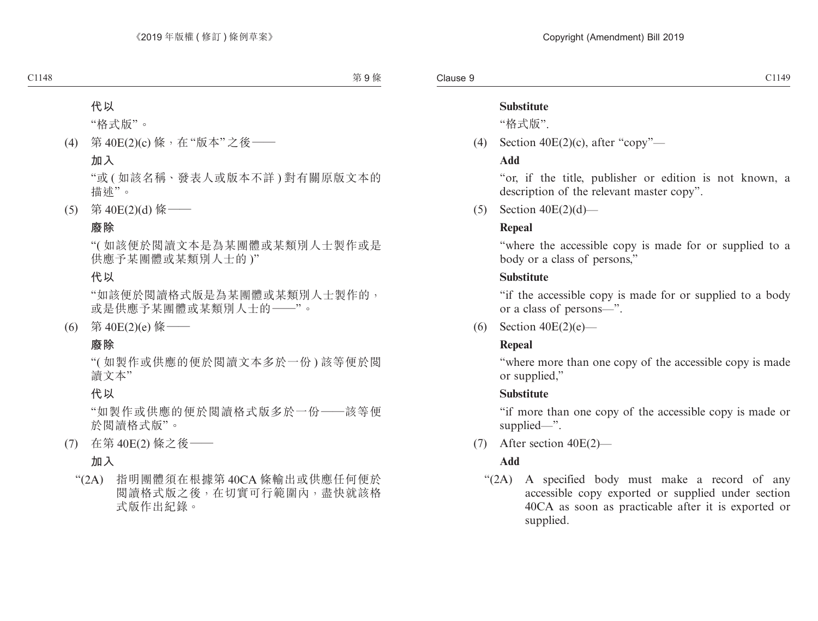### **Substitute**

"格式版".

(4) Section  $40E(2)(c)$ , after "copy"—

## **Add**

"or, if the title, publisher or edition is not known, a description of the relevant master copy".

 $(5)$  Section  $40E(2)(d)$ —

## **Repeal**

"where the accessible copy is made for or supplied to a body or a class of persons,"

## **Substitute**

"if the accessible copy is made for or supplied to a body or a class of persons—".

(6) Section  $40E(2)(e)$ —

## **Repeal**

"where more than one copy of the accessible copy is made or supplied,"

## **Substitute**

"if more than one copy of the accessible copy is made or supplied—".

(7) After section 40E(2)—

## **Add**

"(2A) A specified body must make a record of any accessible copy exported or supplied under section 40CA as soon as practicable after it is exported or supplied.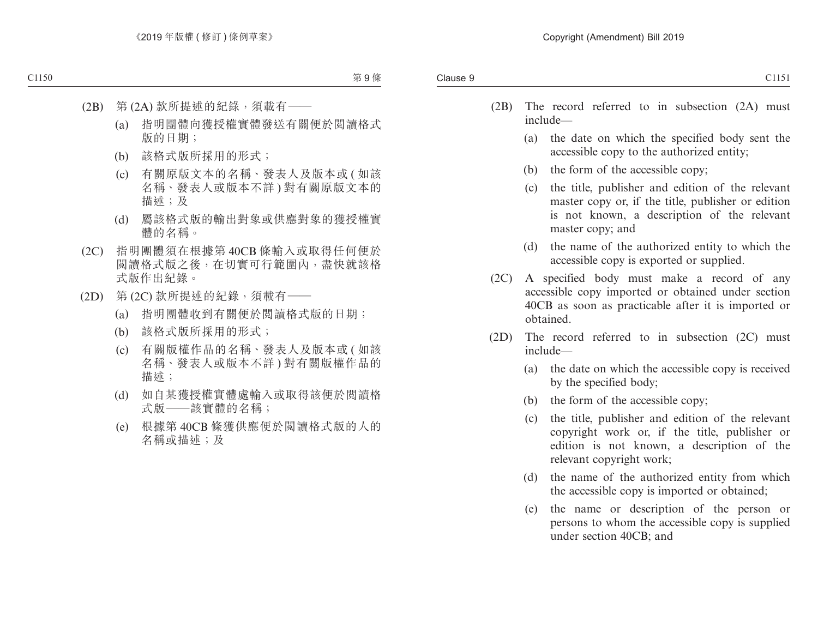- (2B) The record referred to in subsection (2A) must include—
	- (a) the date on which the specified body sent the accessible copy to the authorized entity;
	- (b) the form of the accessible copy;
	- (c) the title, publisher and edition of the relevant master copy or, if the title, publisher or edition is not known, a description of the relevant master copy; and
	- (d) the name of the authorized entity to which the accessible copy is exported or supplied.
- (2C) A specified body must make a record of any accessible copy imported or obtained under section 40CB as soon as practicable after it is imported or obtained.
- (2D) The record referred to in subsection (2C) must include—
	- (a) the date on which the accessible copy is received by the specified body;
	- (b) the form of the accessible copy;
	- (c) the title, publisher and edition of the relevant copyright work or, if the title, publisher or edition is not known, a description of the relevant copyright work;
	- (d) the name of the authorized entity from which the accessible copy is imported or obtained;
	- (e) the name or description of the person or persons to whom the accessible copy is supplied under section 40CB; and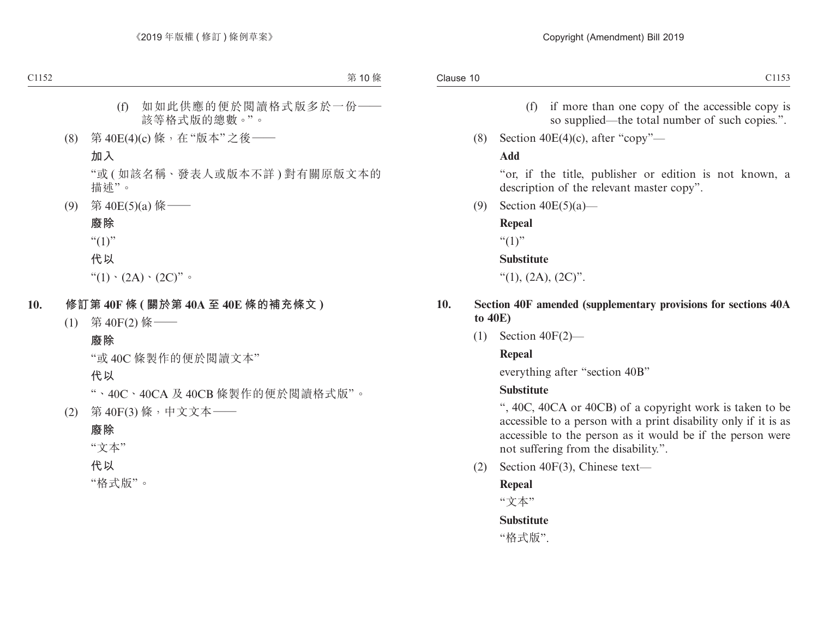- (f) if more than one copy of the accessible copy is so supplied—the total number of such copies.".
- (8) Section  $40E(4)(c)$ , after "copy"—

#### **Add**

"or, if the title, publisher or edition is not known, a description of the relevant master copy".

(9) Section 40E(5)(a)—

#### **Repeal**

 $``(1)"$ 

#### **Substitute**

"(1),  $(2A)$ ,  $(2C)$ ".

- **10. Section 40F amended (supplementary provisions for sections 40A to 40E)**
	- (1) Section 40F(2)—

#### **Repeal**

everything after "section 40B"

#### **Substitute**

", 40C, 40CA or 40CB) of a copyright work is taken to be accessible to a person with a print disability only if it is as accessible to the person as it would be if the person were not suffering from the disability.".

(2) Section 40F(3), Chinese text—

#### **Repeal**

"文本"

#### **Substitute**

"格式版".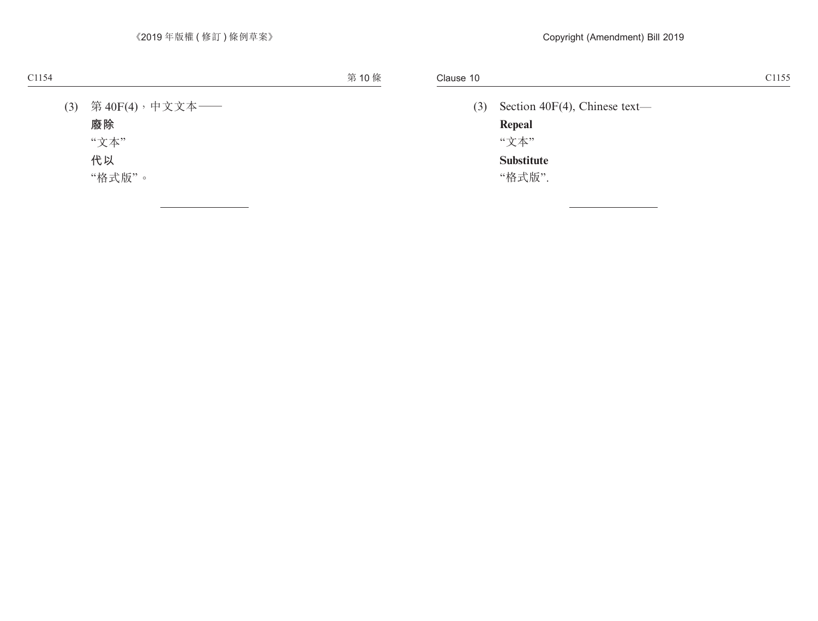(3) Section 40F(4), Chinese text— **Repeal** "文本" **Substitute**

"格式版".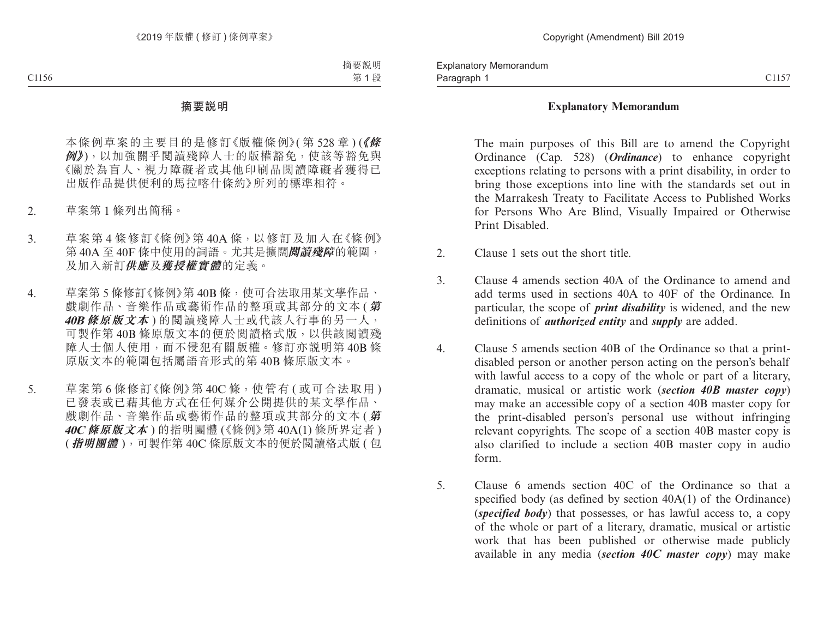#### **Explanatory Memorandum**

The main purposes of this Bill are to amend the Copyright Ordinance (Cap. 528) (*Ordinance*) to enhance copyright exceptions relating to persons with a print disability, in order to bring those exceptions into line with the standards set out in the Marrakesh Treaty to Facilitate Access to Published Works for Persons Who Are Blind, Visually Impaired or Otherwise Print Disabled.

- 2. Clause 1 sets out the short title.
- 3. Clause 4 amends section 40A of the Ordinance to amend and add terms used in sections 40A to 40F of the Ordinance. In particular, the scope of *print disability* is widened, and the new definitions of *authorized entity* and *supply* are added.
- 4. Clause 5 amends section 40B of the Ordinance so that a printdisabled person or another person acting on the person's behalf with lawful access to a copy of the whole or part of a literary, dramatic, musical or artistic work (*section 40B master copy*) may make an accessible copy of a section 40B master copy for the print-disabled person's personal use without infringing relevant copyrights. The scope of a section 40B master copy is also clarified to include a section 40B master copy in audio form.
- 5. Clause 6 amends section 40C of the Ordinance so that a specified body (as defined by section 40A(1) of the Ordinance) (*specified body*) that possesses, or has lawful access to, a copy of the whole or part of a literary, dramatic, musical or artistic work that has been published or otherwise made publicly available in any media (*section 40C master copy*) may make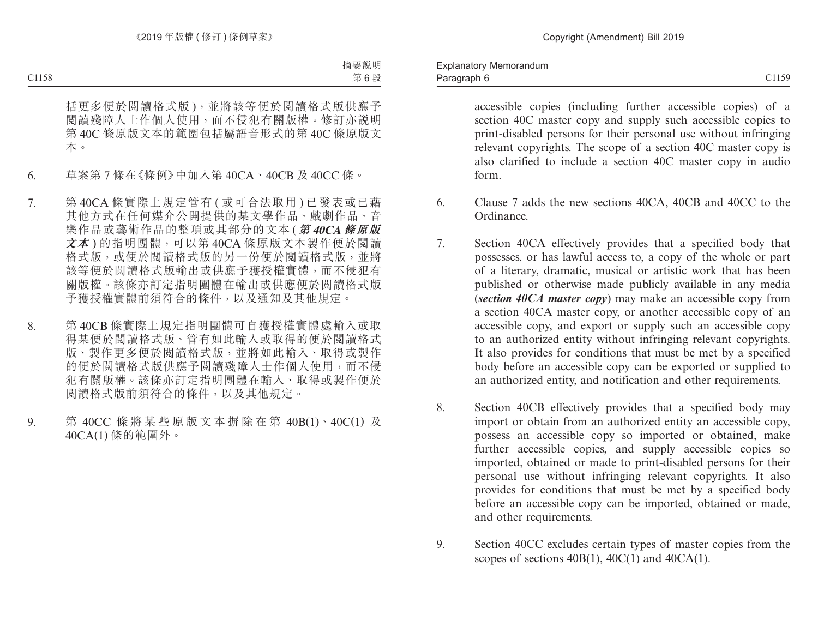accessible copies (including further accessible copies) of a section 40C master copy and supply such accessible copies to print-disabled persons for their personal use without infringing relevant copyrights. The scope of a section 40C master copy is also clarified to include a section 40C master copy in audio form.

- 6. Clause 7 adds the new sections 40CA, 40CB and 40CC to the Ordinance.
- 7. Section 40CA effectively provides that a specified body that possesses, or has lawful access to, a copy of the whole or part of a literary, dramatic, musical or artistic work that has been published or otherwise made publicly available in any media (*section 40CA master copy*) may make an accessible copy from a section 40CA master copy, or another accessible copy of an accessible copy, and export or supply such an accessible copy to an authorized entity without infringing relevant copyrights. It also provides for conditions that must be met by a specified body before an accessible copy can be exported or supplied to an authorized entity, and notification and other requirements.
- 8. Section 40CB effectively provides that a specified body may import or obtain from an authorized entity an accessible copy, possess an accessible copy so imported or obtained, make further accessible copies, and supply accessible copies so imported, obtained or made to print-disabled persons for their personal use without infringing relevant copyrights. It also provides for conditions that must be met by a specified body before an accessible copy can be imported, obtained or made, and other requirements.
- 9. Section 40CC excludes certain types of master copies from the scopes of sections  $40B(1)$ ,  $40C(1)$  and  $40CA(1)$ .